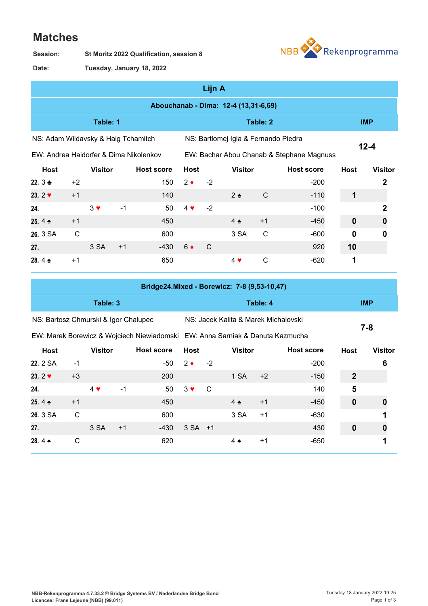## **Matches**

**St Moritz 2022 Qualification, session 8 Session:**



**Tuesday, January 18, 2022 Date:**

|                                        | Lijn A       |                |      |                   |             |      |                                      |              |                                           |             |                |  |  |  |
|----------------------------------------|--------------|----------------|------|-------------------|-------------|------|--------------------------------------|--------------|-------------------------------------------|-------------|----------------|--|--|--|
| Abouchanab - Dima: 12-4 (13,31-6,69)   |              |                |      |                   |             |      |                                      |              |                                           |             |                |  |  |  |
| Table: 1                               |              |                |      |                   |             |      |                                      | Table: 2     |                                           | <b>IMP</b>  |                |  |  |  |
| NS: Adam Wildavsky & Haig Tchamitch    |              |                |      |                   |             |      | NS: Bartlomej Igla & Fernando Piedra |              |                                           |             |                |  |  |  |
| EW: Andrea Haidorfer & Dima Nikolenkov |              |                |      |                   |             |      |                                      |              | EW: Bachar Abou Chanab & Stephane Magnuss | $12 - 4$    |                |  |  |  |
| <b>Host</b>                            |              | <b>Visitor</b> |      | <b>Host score</b> | <b>Host</b> |      | <b>Visitor</b>                       |              | <b>Host score</b>                         | <b>Host</b> | <b>Visitor</b> |  |  |  |
| 22. $3 +$                              | $+2$         |                |      | 150               | $2 \bullet$ | $-2$ |                                      |              | $-200$                                    |             | 2              |  |  |  |
| 23. $2 \blacktriangledown$             | $+1$         |                |      | 140               |             |      | $2 \triangle$                        | C            | $-110$                                    | $\mathbf 1$ |                |  |  |  |
| 24.                                    |              | $3 \vee$       | $-1$ | 50                | $4 \vee$    | $-2$ |                                      |              | $-100$                                    |             | 2              |  |  |  |
| 25.4 $\triangle$                       | $+1$         |                |      | 450               |             |      | $4 \triangle$                        | $+1$         | $-450$                                    | $\bf{0}$    |                |  |  |  |
| 26. 3 SA                               | $\mathsf{C}$ |                |      | 600               |             |      | 3 SA                                 | $\mathsf{C}$ | $-600$                                    | $\bf{0}$    | 0              |  |  |  |
| 27.                                    |              | 3 SA           | $+1$ | $-430$            | $6 \bullet$ | C    |                                      |              | 920                                       | 10          |                |  |  |  |
| 28.4 $\triangle$                       | $+1$         |                |      | 650               |             |      | $4 \vee$                             | $\mathsf{C}$ | $-620$                                    | 1           |                |  |  |  |

|                                      |      |                |      | Bridge24.Mixed - Borewicz: 7-8 (9,53-10,47)                                   |             |      |                                      |      |                   |                  |                |
|--------------------------------------|------|----------------|------|-------------------------------------------------------------------------------|-------------|------|--------------------------------------|------|-------------------|------------------|----------------|
|                                      |      | Table: 3       |      |                                                                               |             |      | Table: 4                             |      | <b>IMP</b>        |                  |                |
| NS: Bartosz Chmurski & Igor Chalupec |      |                |      |                                                                               |             |      | NS: Jacek Kalita & Marek Michalovski |      |                   |                  |                |
|                                      |      |                |      | EW: Marek Borewicz & Wojciech Niewiadomski EW: Anna Sarniak & Danuta Kazmucha |             |      |                                      |      | $7 - 8$           |                  |                |
| <b>Host</b>                          |      | <b>Visitor</b> |      | <b>Host score</b>                                                             | <b>Host</b> |      | <b>Visitor</b>                       |      | <b>Host score</b> | <b>Host</b>      | <b>Visitor</b> |
| 22. 2 SA                             | $-1$ |                |      | -50                                                                           | $2 \bullet$ | $-2$ |                                      |      | $-200$            |                  | 6              |
| 23. $2 \times$                       | $+3$ |                |      | 200                                                                           |             |      | 1 SA                                 | $+2$ | $-150$            | $\mathbf{2}$     |                |
| 24.                                  |      | $4 \vee$       | $-1$ | 50                                                                            | $3 \vee$    | C    |                                      |      | 140               | 5                |                |
| 25.4 $\triangle$                     | $+1$ |                |      | 450                                                                           |             |      | $4 \triangleleft$                    | $+1$ | $-450$            | 0                |                |
| 26. 3 SA                             | C    |                |      | 600                                                                           |             |      | 3 SA                                 | $+1$ | $-630$            |                  |                |
| 27.                                  |      | 3 SA           | $+1$ | -430                                                                          | $3 SA +1$   |      |                                      |      | 430               | $\boldsymbol{0}$ | 0              |
| 28.4 $\triangle$                     | С    |                |      | 620                                                                           |             |      | 4 ♠                                  | $+1$ | -650              |                  |                |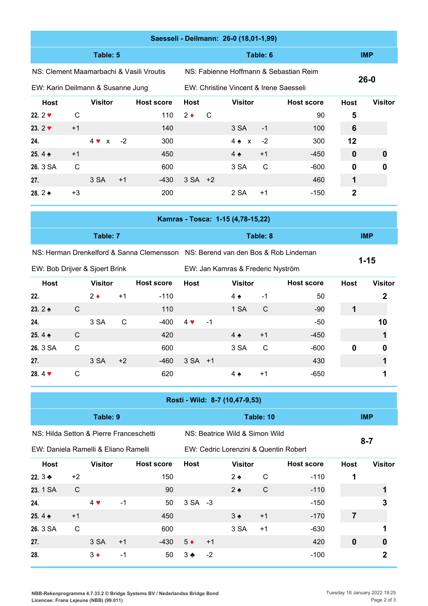|                                          | Saesseli - Deilmann: 26-0 (18,01-1,99) |                |      |                   |             |              |                                        |              |                                        |              |                |  |  |  |  |
|------------------------------------------|----------------------------------------|----------------|------|-------------------|-------------|--------------|----------------------------------------|--------------|----------------------------------------|--------------|----------------|--|--|--|--|
|                                          |                                        | Table: 5       |      |                   |             |              | Table: 6                               |              | <b>IMP</b>                             |              |                |  |  |  |  |
| NS: Clement Maamarbachi & Vasili Vroutis |                                        |                |      |                   |             |              |                                        |              | NS: Fabienne Hoffmann & Sebastian Reim | $26 - 0$     |                |  |  |  |  |
| EW: Karin Deilmann & Susanne Jung        |                                        |                |      |                   |             |              | EW: Christine Vincent & Irene Saesseli |              |                                        |              |                |  |  |  |  |
| Host                                     |                                        | <b>Visitor</b> |      | <b>Host score</b> | <b>Host</b> |              | <b>Visitor</b>                         |              | <b>Host score</b>                      | <b>Host</b>  | <b>Visitor</b> |  |  |  |  |
| 22. $2 \times$                           | $\mathsf{C}$                           |                |      | 110               | $2 \bullet$ | $\mathsf{C}$ |                                        |              | 90                                     | 5            |                |  |  |  |  |
| 23. $2 \times$                           | $+1$                                   |                |      | 140               |             |              | 3 SA                                   | $-1$         | 100                                    | 6            |                |  |  |  |  |
| 24.                                      |                                        | $4 \vee x$     | $-2$ | 300               |             |              | $4 \triangle x$                        | $-2$         | 300                                    | 12           |                |  |  |  |  |
| 25.4 $\triangle$                         | $+1$                                   |                |      | 450               |             |              | $4 \triangle$                          | $+1$         | $-450$                                 | $\mathbf 0$  | O              |  |  |  |  |
| 26. 3 SA                                 | $\mathsf{C}$                           |                |      | 600               |             |              | 3 SA                                   | $\mathsf{C}$ | $-600$                                 | 0            | 0              |  |  |  |  |
| 27.                                      |                                        | 3 SA           | $+1$ | -430              | $3 SA +2$   |              |                                        |              | 460                                    | 1            |                |  |  |  |  |
| 28. $2 \triangle$                        | $+3$                                   |                |      | 200               |             |              | 2 SA                                   | $+1$         | $-150$                                 | $\mathbf{2}$ |                |  |  |  |  |
|                                          |                                        |                |      |                   |             |              | Kamras - Tosca: 1-15 (4,78-15,22)      |              |                                        |              |                |  |  |  |  |

|          | _______  |            |
|----------|----------|------------|
| Table: 7 | Table: 8 | <b>IMP</b> |
|          |          |            |

NS: Herman Drenkelford & Sanna Clemensson NS: Berend van den Bos & Rob Lindeman

EW: Bob Drijver & Sjoert Brink

EW: Jan Kamras & Frederic Nyström

**1-15**

| <b>Host</b>               |   | <b>Visitor</b> |      | <b>Host score</b> | <b>Host</b> |      | <b>Visitor</b>    |      | <b>Host score</b> | <b>Host</b> | <b>Visitor</b> |
|---------------------------|---|----------------|------|-------------------|-------------|------|-------------------|------|-------------------|-------------|----------------|
| 22.                       |   | $2 \bullet$    | $+1$ | $-110$            |             |      | $4 \triangle$     | -1   | 50                |             |                |
| 23. $2 \triangle$         | C |                |      | 110               |             |      | 1 SA              | C    | $-90$             |             |                |
| 24.                       |   | 3 SA           | C    | $-400$            | $4 \vee$    | $-1$ |                   |      | $-50$             |             | 10             |
| 25.4 $\triangle$          | C |                |      | 420               |             |      | $4 \triangleleft$ | $+1$ | $-450$            |             |                |
| 26. 3 SA                  | C |                |      | 600               |             |      | 3 SA              | C    | $-600$            | 0           | 0              |
| 27.                       |   | 3 SA           | $+2$ | $-460$            | $3 SA +1$   |      |                   |      | 430               |             |                |
| 28.4 $\blacktriangledown$ | C |                |      | 620               |             |      | $4 \bullet$       | $+1$ | $-650$            |             |                |

|                                         | Rosti - Wild: 8-7 (10,47-9,53) |                |      |                   |             |      |                                |      |                                       |             |                |  |  |  |
|-----------------------------------------|--------------------------------|----------------|------|-------------------|-------------|------|--------------------------------|------|---------------------------------------|-------------|----------------|--|--|--|
|                                         |                                | Table: 9       |      |                   |             |      | Table: 10                      |      | <b>IMP</b>                            |             |                |  |  |  |
| NS: Hilda Setton & Pierre Franceschetti |                                |                |      |                   |             |      | NS: Beatrice Wild & Simon Wild |      |                                       |             |                |  |  |  |
| EW: Daniela Ramelli & Eliano Ramelli    |                                |                |      |                   |             |      |                                |      | EW: Cedric Lorenzini & Quentin Robert | $8 - 7$     |                |  |  |  |
| <b>Host</b>                             |                                | <b>Visitor</b> |      | <b>Host score</b> | <b>Host</b> |      | <b>Visitor</b>                 |      | <b>Host score</b>                     | <b>Host</b> | <b>Visitor</b> |  |  |  |
| 22. $3 +$                               | $+2$                           |                |      | 150               |             |      | $2 \triangleleft$              | C    | $-110$                                |             |                |  |  |  |
| 23. 1 SA                                | $\mathsf{C}$                   |                |      | 90                |             |      | $2 \triangleleft$              | C    | $-110$                                |             |                |  |  |  |
| 24.                                     |                                | $4 \vee$       | $-1$ | 50                | $3 SA -3$   |      |                                |      | $-150$                                |             | 3              |  |  |  |
| 25.4 $\triangle$                        | $+1$                           |                |      | 450               |             |      | $3 \triangle$                  | $+1$ | $-170$                                | 7           |                |  |  |  |
| 26. 3 SA                                | C                              |                |      | 600               |             |      | 3 SA                           | $+1$ | $-630$                                |             |                |  |  |  |
| 27.                                     |                                | 3 SA           | $+1$ | -430              | $5 \bullet$ | $+1$ |                                |      | 420                                   | $\mathbf 0$ |                |  |  |  |
| 28.                                     |                                | $3 \bullet$    | $-1$ | 50                | $3 \bullet$ | $-2$ |                                |      | $-100$                                |             | 2              |  |  |  |